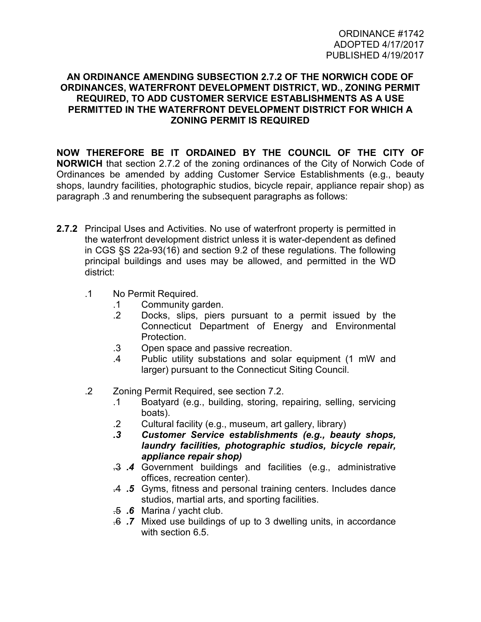## **AN ORDINANCE AMENDING SUBSECTION 2.7.2 OF THE NORWICH CODE OF ORDINANCES, WATERFRONT DEVELOPMENT DISTRICT, WD., ZONING PERMIT REQUIRED, TO ADD CUSTOMER SERVICE ESTABLISHMENTS AS A USE PERMITTED IN THE WATERFRONT DEVELOPMENT DISTRICT FOR WHICH A ZONING PERMIT IS REQUIRED**

**NOW THEREFORE BE IT ORDAINED BY THE COUNCIL OF THE CITY OF NORWICH** that section 2.7.2 of the zoning ordinances of the City of Norwich Code of Ordinances be amended by adding Customer Service Establishments (e.g., beauty shops, laundry facilities, photographic studios, bicycle repair, appliance repair shop) as paragraph .3 and renumbering the subsequent paragraphs as follows:

- **2.7.2** Principal Uses and Activities. No use of waterfront property is permitted in the waterfront development district unless it is water-dependent as defined in CGS §S 22a-93(16) and section 9.2 of these regulations. The following principal buildings and uses may be allowed, and permitted in the WD district:
	- .1 No Permit Required.
		- .1 Community garden.
		- .2 Docks, slips, piers pursuant to a permit issued by the Connecticut Department of Energy and Environmental Protection.
		- .3 Open space and passive recreation.
		- .4 Public utility substations and solar equipment (1 mW and larger) pursuant to the Connecticut Siting Council.
	- .2 Zoning Permit Required, see section 7.2.
		- .1 Boatyard (e.g., building, storing, repairing, selling, servicing boats).
		- .2 Cultural facility (e.g., museum, art gallery, library)
		- *.3 Customer Service establishments (e.g., beauty shops, laundry facilities, photographic studios, bicycle repair, appliance repair shop)*
		- .3 *.4* Government buildings and facilities (e.g., administrative offices, recreation center).
		- .4 *.5* Gyms, fitness and personal training centers. Includes dance studios, martial arts, and sporting facilities.
		- .5 *.6* Marina / yacht club.
		- .6 *.7* Mixed use buildings of up to 3 dwelling units, in accordance with section 6.5.